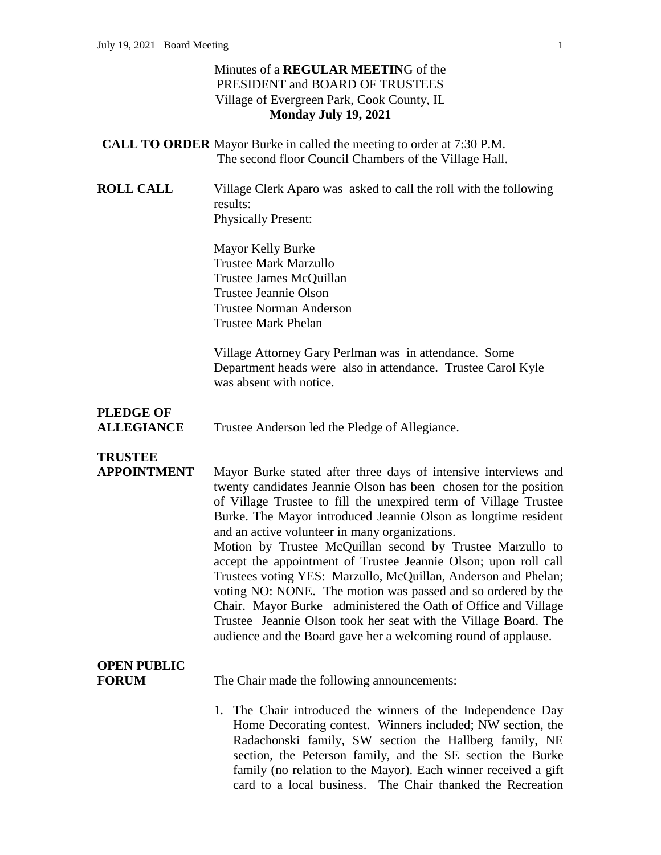#### Minutes of a **REGULAR MEETIN**G of the PRESIDENT and BOARD OF TRUSTEES Village of Evergreen Park, Cook County, IL **Monday July 19, 2021**

- **CALL TO ORDER** Mayor Burke in called the meeting to order at 7:30 P.M. The second floor Council Chambers of the Village Hall.
- **ROLL CALL** Village Clerk Aparo was asked to call the roll with the following results: Physically Present:

Mayor Kelly Burke Trustee Mark Marzullo Trustee James McQuillan Trustee Jeannie Olson Trustee Norman Anderson Trustee Mark Phelan

Village Attorney Gary Perlman was in attendance. Some Department heads were also in attendance. Trustee Carol Kyle was absent with notice.

## **PLEDGE OF**

**ALLEGIANCE** Trustee Anderson led the Pledge of Allegiance.

# **TRUSTEE**

**APPOINTMENT** Mayor Burke stated after three days of intensive interviews and twenty candidates Jeannie Olson has been chosen for the position of Village Trustee to fill the unexpired term of Village Trustee Burke. The Mayor introduced Jeannie Olson as longtime resident and an active volunteer in many organizations. Motion by Trustee McQuillan second by Trustee Marzullo to accept the appointment of Trustee Jeannie Olson; upon roll call Trustees voting YES: Marzullo, McQuillan, Anderson and Phelan; voting NO: NONE. The motion was passed and so ordered by the Chair. Mayor Burke administered the Oath of Office and Village Trustee Jeannie Olson took her seat with the Village Board. The audience and the Board gave her a welcoming round of applause.

# **OPEN PUBLIC**

**FORUM** The Chair made the following announcements:

1. The Chair introduced the winners of the Independence Day Home Decorating contest. Winners included; NW section, the Radachonski family, SW section the Hallberg family, NE section, the Peterson family, and the SE section the Burke family (no relation to the Mayor). Each winner received a gift card to a local business. The Chair thanked the Recreation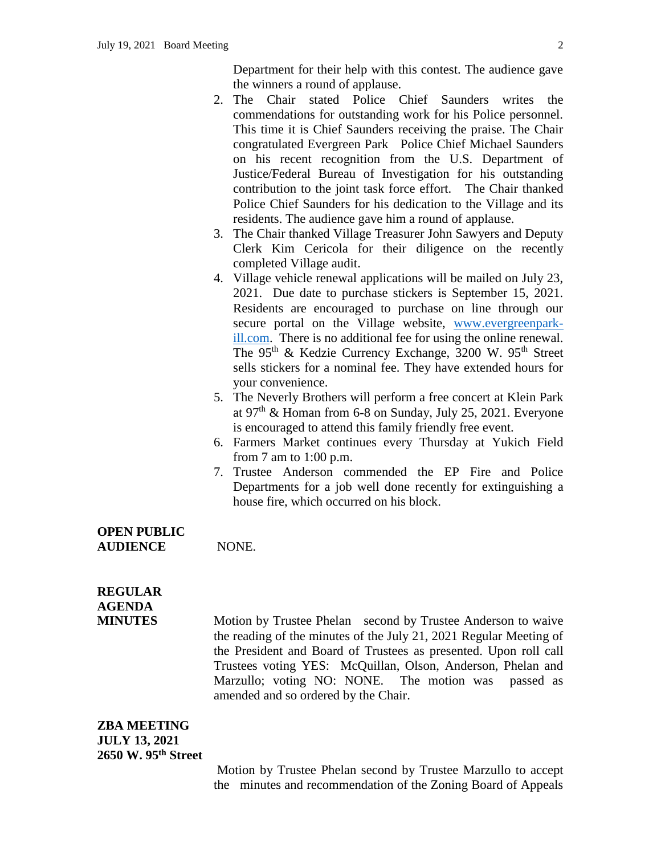Department for their help with this contest. The audience gave the winners a round of applause.

- 2. The Chair stated Police Chief Saunders writes the commendations for outstanding work for his Police personnel. This time it is Chief Saunders receiving the praise. The Chair congratulated Evergreen Park Police Chief Michael Saunders on his recent recognition from the U.S. Department of Justice/Federal Bureau of Investigation for his outstanding contribution to the joint task force effort. The Chair thanked Police Chief Saunders for his dedication to the Village and its residents. The audience gave him a round of applause.
- 3. The Chair thanked Village Treasurer John Sawyers and Deputy Clerk Kim Cericola for their diligence on the recently completed Village audit.
- 4. Village vehicle renewal applications will be mailed on July 23, 2021. Due date to purchase stickers is September 15, 2021. Residents are encouraged to purchase on line through our secure portal on the Village website, [www.evergreenpark](http://www.evergreenpark-ill.com/)[ill.com.](http://www.evergreenpark-ill.com/) There is no additional fee for using the online renewal. The 95<sup>th</sup> & Kedzie Currency Exchange, 3200 W. 95<sup>th</sup> Street sells stickers for a nominal fee. They have extended hours for your convenience.
- 5. The Neverly Brothers will perform a free concert at Klein Park at 97th & Homan from 6-8 on Sunday, July 25, 2021. Everyone is encouraged to attend this family friendly free event.
- 6. Farmers Market continues every Thursday at Yukich Field from 7 am to 1:00 p.m.
- 7. Trustee Anderson commended the EP Fire and Police Departments for a job well done recently for extinguishing a house fire, which occurred on his block.

#### **OPEN PUBLIC AUDIENCE** NONE.

## **REGULAR AGENDA**

**MINUTES** Motion by Trustee Phelan second by Trustee Anderson to waive the reading of the minutes of the July 21, 2021 Regular Meeting of the President and Board of Trustees as presented. Upon roll call Trustees voting YES: McQuillan, Olson, Anderson, Phelan and Marzullo; voting NO: NONE. The motion was passed as amended and so ordered by the Chair.

#### **ZBA MEETING JULY 13, 2021 2650 W. 95th Street**

Motion by Trustee Phelan second by Trustee Marzullo to accept the minutes and recommendation of the Zoning Board of Appeals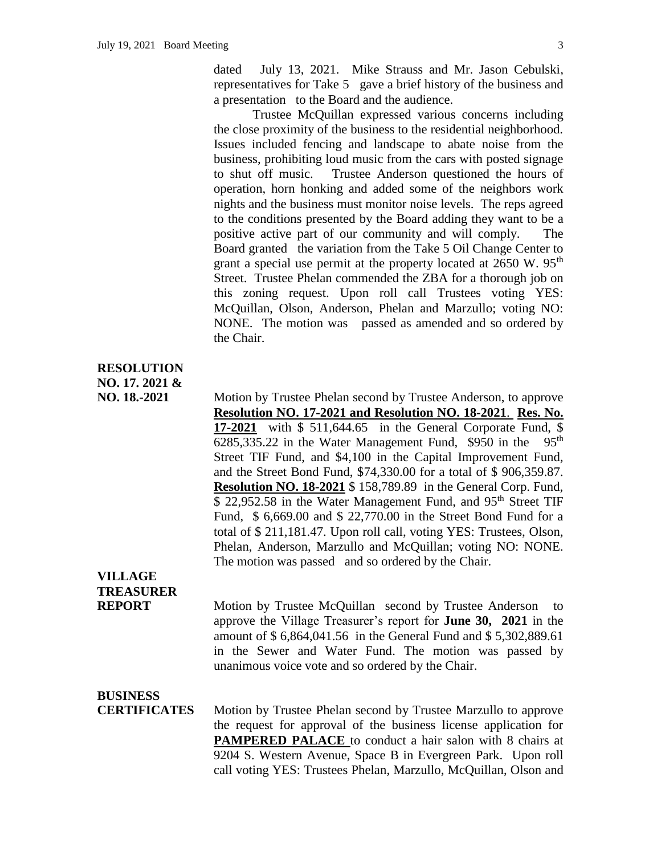dated July 13, 2021. Mike Strauss and Mr. Jason Cebulski, representatives for Take 5 gave a brief history of the business and a presentation to the Board and the audience.

Trustee McQuillan expressed various concerns including the close proximity of the business to the residential neighborhood. Issues included fencing and landscape to abate noise from the business, prohibiting loud music from the cars with posted signage to shut off music. Trustee Anderson questioned the hours of operation, horn honking and added some of the neighbors work nights and the business must monitor noise levels. The reps agreed to the conditions presented by the Board adding they want to be a positive active part of our community and will comply. The Board granted the variation from the Take 5 Oil Change Center to grant a special use permit at the property located at  $2650 \text{ W}$ .  $95^{\text{th}}$ Street. Trustee Phelan commended the ZBA for a thorough job on this zoning request. Upon roll call Trustees voting YES: McQuillan, Olson, Anderson, Phelan and Marzullo; voting NO: NONE. The motion was passed as amended and so ordered by the Chair.

#### **RESOLUTION NO. 17. 2021 &**

**NO. 18.-2021** Motion by Trustee Phelan second by Trustee Anderson, to approve **Resolution NO. 17-2021 and Resolution NO. 18-2021**. **Res. No. 17-2021** with \$ 511,644.65 in the General Corporate Fund, \$  $6285,335.22$  in the Water Management Fund, \$950 in the 95<sup>th</sup> Street TIF Fund, and \$4,100 in the Capital Improvement Fund, and the Street Bond Fund, \$74,330.00 for a total of \$ 906,359.87. **Resolution NO. 18-2021** \$ 158,789.89 in the General Corp. Fund, \$ 22,952.58 in the Water Management Fund, and 95<sup>th</sup> Street TIF Fund, \$ 6,669.00 and \$ 22,770.00 in the Street Bond Fund for a total of \$ 211,181.47. Upon roll call, voting YES: Trustees, Olson, Phelan, Anderson, Marzullo and McQuillan; voting NO: NONE. The motion was passed and so ordered by the Chair.

## **VILLAGE TREASURER**

**REPORT** Motion by Trustee McQuillan second by Trustee Anderson to approve the Village Treasurer's report for **June 30, 2021** in the amount of \$ 6,864,041.56 in the General Fund and \$ 5,302,889.61 in the Sewer and Water Fund. The motion was passed by unanimous voice vote and so ordered by the Chair.

#### **BUSINESS**

**CERTIFICATES** Motion by Trustee Phelan second by Trustee Marzullo to approve the request for approval of the business license application for **PAMPERED PALACE** to conduct a hair salon with 8 chairs at 9204 S. Western Avenue, Space B in Evergreen Park. Upon roll call voting YES: Trustees Phelan, Marzullo, McQuillan, Olson and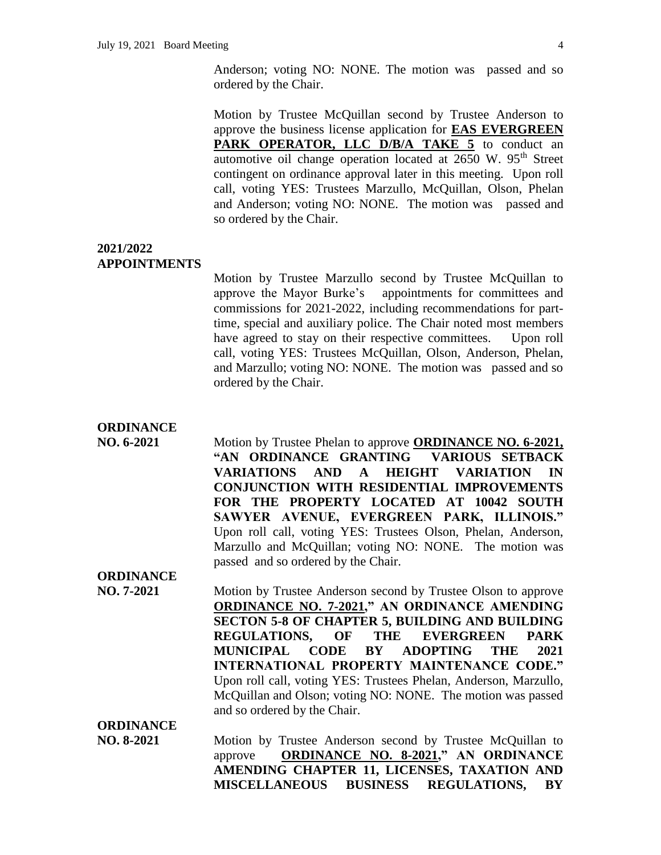Anderson; voting NO: NONE. The motion was passed and so ordered by the Chair.

Motion by Trustee McQuillan second by Trustee Anderson to approve the business license application for **EAS EVERGREEN**  PARK OPERATOR, LLC D/B/A TAKE 5 to conduct an automotive oil change operation located at  $2650$  W.  $95<sup>th</sup>$  Street contingent on ordinance approval later in this meeting. Upon roll call, voting YES: Trustees Marzullo, McQuillan, Olson, Phelan and Anderson; voting NO: NONE. The motion was passed and so ordered by the Chair.

**2021/2022 APPOINTMENTS**

> Motion by Trustee Marzullo second by Trustee McQuillan to approve the Mayor Burke's appointments for committees and commissions for 2021-2022, including recommendations for parttime, special and auxiliary police. The Chair noted most members have agreed to stay on their respective committees. Upon roll call, voting YES: Trustees McQuillan, Olson, Anderson, Phelan, and Marzullo; voting NO: NONE. The motion was passed and so ordered by the Chair.

- **ORDINANCE**
- **NO. 6-2021** Motion by Trustee Phelan to approve **ORDINANCE NO. 6-2021, "AN ORDINANCE GRANTING VARIOUS SETBACK VARIATIONS AND A HEIGHT VARIATION IN CONJUNCTION WITH RESIDENTIAL IMPROVEMENTS FOR THE PROPERTY LOCATED AT 10042 SOUTH SAWYER AVENUE, EVERGREEN PARK, ILLINOIS."**  Upon roll call, voting YES: Trustees Olson, Phelan, Anderson, Marzullo and McQuillan; voting NO: NONE. The motion was passed and so ordered by the Chair. **ORDINANCE**
- **NO. 7-2021** Motion by Trustee Anderson second by Trustee Olson to approve **ORDINANCE NO. 7-2021," AN ORDINANCE AMENDING SECTON 5-8 OF CHAPTER 5, BUILDING AND BUILDING REGULATIONS, OF THE EVERGREEN PARK MUNICIPAL CODE BY ADOPTING THE 2021 INTERNATIONAL PROPERTY MAINTENANCE CODE."**  Upon roll call, voting YES: Trustees Phelan, Anderson, Marzullo, McQuillan and Olson; voting NO: NONE. The motion was passed and so ordered by the Chair.

**ORDINANCE NO. 8-2021** Motion by Trustee Anderson second by Trustee McQuillan to approve **ORDINANCE NO. 8-2021," AN ORDINANCE AMENDING CHAPTER 11, LICENSES, TAXATION AND MISCELLANEOUS BUSINESS REGULATIONS, BY**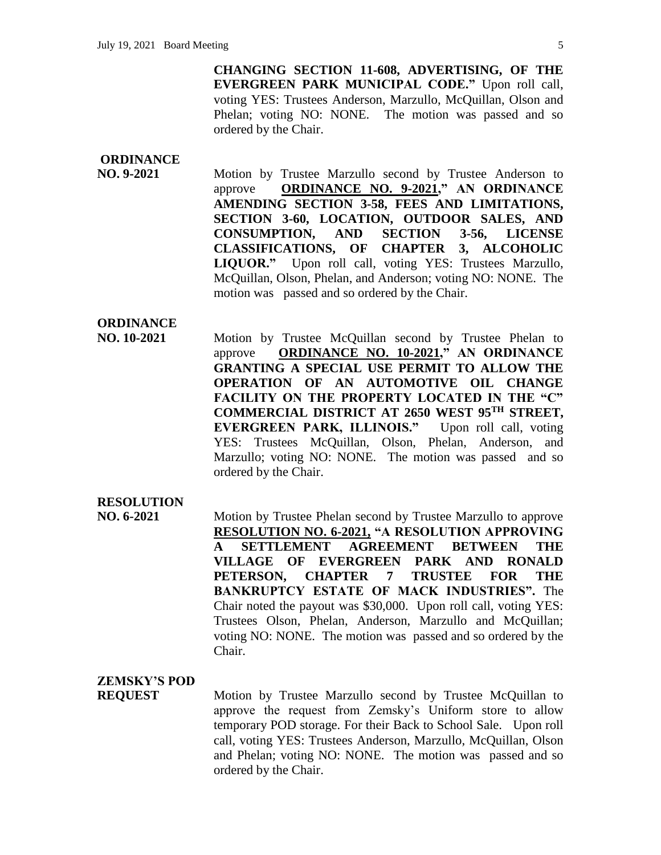**CHANGING SECTION 11-608, ADVERTISING, OF THE EVERGREEN PARK MUNICIPAL CODE."** Upon roll call, voting YES: Trustees Anderson, Marzullo, McQuillan, Olson and Phelan; voting NO: NONE. The motion was passed and so ordered by the Chair.

### **ORDINANCE**

**NO. 9-2021** Motion by Trustee Marzullo second by Trustee Anderson to approve **ORDINANCE NO. 9-2021," AN ORDINANCE AMENDING SECTION 3-58, FEES AND LIMITATIONS, SECTION 3-60, LOCATION, OUTDOOR SALES, AND CONSUMPTION, AND SECTION 3-56, LICENSE CLASSIFICATIONS, OF CHAPTER 3, ALCOHOLIC LIQUOR."** Upon roll call, voting YES: Trustees Marzullo, McQuillan, Olson, Phelan, and Anderson; voting NO: NONE. The motion was passed and so ordered by the Chair.

### **ORDINANCE**

**NO. 10-2021** Motion by Trustee McQuillan second by Trustee Phelan to approve **ORDINANCE NO. 10-2021," AN ORDINANCE GRANTING A SPECIAL USE PERMIT TO ALLOW THE OPERATION OF AN AUTOMOTIVE OIL CHANGE FACILITY ON THE PROPERTY LOCATED IN THE "C" COMMERCIAL DISTRICT AT 2650 WEST 95TH STREET, EVERGREEN PARK, ILLINOIS."** Upon roll call, voting YES: Trustees McQuillan, Olson, Phelan, Anderson, and Marzullo; voting NO: NONE. The motion was passed and so ordered by the Chair.

#### **RESOLUTION**

**NO. 6-2021** Motion by Trustee Phelan second by Trustee Marzullo to approve **RESOLUTION NO. 6-2021, "A RESOLUTION APPROVING A SETTLEMENT AGREEMENT BETWEEN THE VILLAGE OF EVERGREEN PARK AND RONALD PETERSON, CHAPTER 7 TRUSTEE FOR THE BANKRUPTCY ESTATE OF MACK INDUSTRIES".** The Chair noted the payout was \$30,000. Upon roll call, voting YES: Trustees Olson, Phelan, Anderson, Marzullo and McQuillan; voting NO: NONE. The motion was passed and so ordered by the Chair.

### **ZEMSKY'S POD**

**REQUEST** Motion by Trustee Marzullo second by Trustee McQuillan to approve the request from Zemsky's Uniform store to allow temporary POD storage. For their Back to School Sale. Upon roll call, voting YES: Trustees Anderson, Marzullo, McQuillan, Olson and Phelan; voting NO: NONE. The motion was passed and so ordered by the Chair.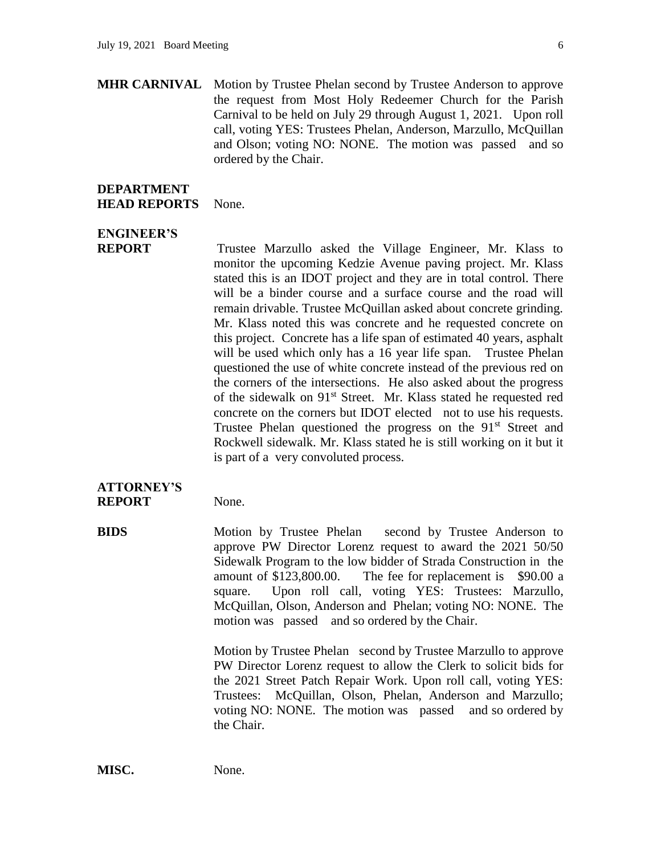**MHR CARNIVAL** Motion by Trustee Phelan second by Trustee Anderson to approve the request from Most Holy Redeemer Church for the Parish Carnival to be held on July 29 through August 1, 2021. Upon roll call, voting YES: Trustees Phelan, Anderson, Marzullo, McQuillan and Olson; voting NO: NONE. The motion was passed and so ordered by the Chair.

#### **DEPARTMENT HEAD REPORTS** None.

# **ENGINEER'S**

**REPORT** Trustee Marzullo asked the Village Engineer, Mr. Klass to monitor the upcoming Kedzie Avenue paving project. Mr. Klass stated this is an IDOT project and they are in total control. There will be a binder course and a surface course and the road will remain drivable. Trustee McQuillan asked about concrete grinding. Mr. Klass noted this was concrete and he requested concrete on this project. Concrete has a life span of estimated 40 years, asphalt will be used which only has a 16 year life span. Trustee Phelan questioned the use of white concrete instead of the previous red on the corners of the intersections. He also asked about the progress of the sidewalk on 91<sup>st</sup> Street. Mr. Klass stated he requested red concrete on the corners but IDOT elected not to use his requests. Trustee Phelan questioned the progress on the  $91<sup>st</sup>$  Street and Rockwell sidewalk. Mr. Klass stated he is still working on it but it is part of a very convoluted process.

#### **ATTORNEY'S REPORT** None.

**BIDS** Motion by Trustee Phelan second by Trustee Anderson to approve PW Director Lorenz request to award the 2021 50/50 Sidewalk Program to the low bidder of Strada Construction in the amount of \$123,800.00. The fee for replacement is \$90.00 a square. Upon roll call, voting YES: Trustees: Marzullo, McQuillan, Olson, Anderson and Phelan; voting NO: NONE. The motion was passed and so ordered by the Chair.

> Motion by Trustee Phelan second by Trustee Marzullo to approve PW Director Lorenz request to allow the Clerk to solicit bids for the 2021 Street Patch Repair Work. Upon roll call, voting YES: Trustees: McQuillan, Olson, Phelan, Anderson and Marzullo; voting NO: NONE. The motion was passed and so ordered by the Chair.

**MISC.** None.